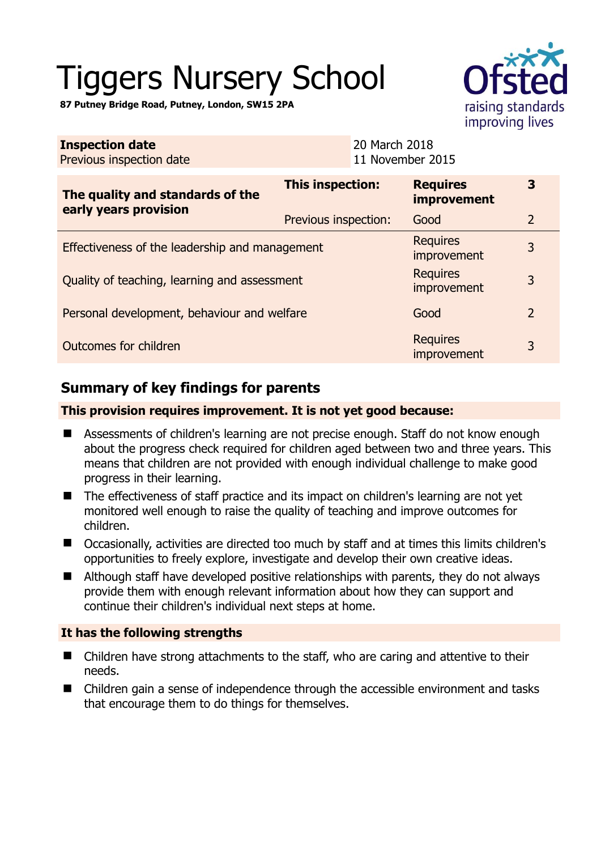# Tiggers Nursery School

**87 Putney Bridge Road, Putney, London, SW15 2PA** 

| raising standards |
|-------------------|
| improving lives   |

| <b>Inspection date</b><br>Previous inspection date |                      | 20 March 2018<br>11 November 2015 |                                       |                |
|----------------------------------------------------|----------------------|-----------------------------------|---------------------------------------|----------------|
| The quality and standards of the                   | This inspection:     |                                   | <b>Requires</b><br><b>improvement</b> | 3              |
| early years provision                              | Previous inspection: |                                   | Good                                  | $\overline{2}$ |
| Effectiveness of the leadership and management     |                      |                                   | <b>Requires</b><br>improvement        | 3              |
| Quality of teaching, learning and assessment       |                      |                                   | <b>Requires</b><br>improvement        | 3              |
| Personal development, behaviour and welfare        |                      |                                   | Good                                  | $\overline{2}$ |
| Outcomes for children                              |                      |                                   | <b>Requires</b><br>improvement        | 3              |

# **Summary of key findings for parents**

## **This provision requires improvement. It is not yet good because:**

- Assessments of children's learning are not precise enough. Staff do not know enough about the progress check required for children aged between two and three years. This means that children are not provided with enough individual challenge to make good progress in their learning.
- The effectiveness of staff practice and its impact on children's learning are not vet monitored well enough to raise the quality of teaching and improve outcomes for children.
- Occasionally, activities are directed too much by staff and at times this limits children's opportunities to freely explore, investigate and develop their own creative ideas.
- Although staff have developed positive relationships with parents, they do not always provide them with enough relevant information about how they can support and continue their children's individual next steps at home.

## **It has the following strengths**

- Children have strong attachments to the staff, who are caring and attentive to their needs.
- Children gain a sense of independence through the accessible environment and tasks that encourage them to do things for themselves.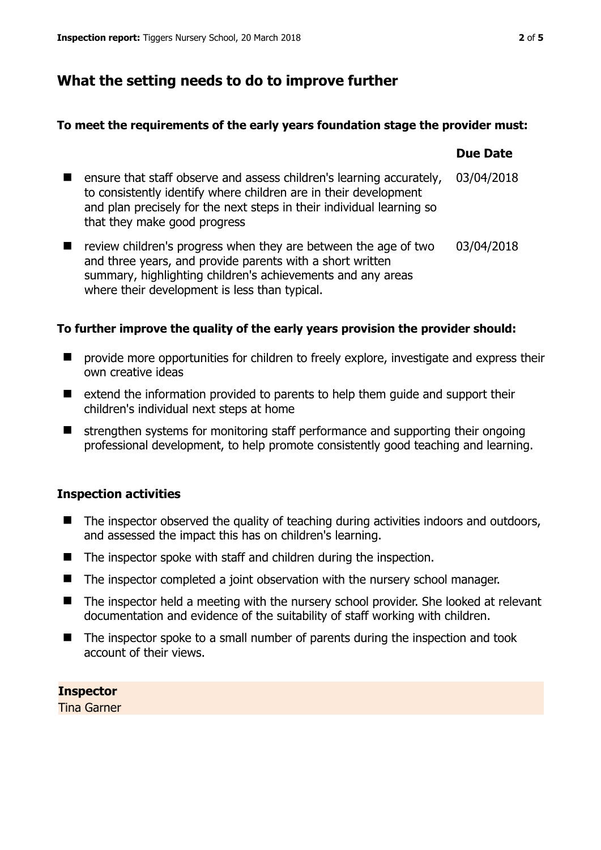## **What the setting needs to do to improve further**

#### **To meet the requirements of the early years foundation stage the provider must:**

|                                                                                                                                                                                                                                                   | <b>Due Date</b> |
|---------------------------------------------------------------------------------------------------------------------------------------------------------------------------------------------------------------------------------------------------|-----------------|
| ensure that staff observe and assess children's learning accurately,<br>to consistently identify where children are in their development<br>and plan precisely for the next steps in their individual learning so<br>that they make good progress | 03/04/2018      |
| review children's progress when they are between the age of two<br>and three years, and provide parents with a short written<br>summary, highlighting children's achievements and any areas<br>where their development is less than typical.      | 03/04/2018      |

## **To further improve the quality of the early years provision the provider should:**

- **P** provide more opportunities for children to freely explore, investigate and express their own creative ideas
- $\blacksquare$  extend the information provided to parents to help them guide and support their children's individual next steps at home
- $\blacksquare$  strengthen systems for monitoring staff performance and supporting their ongoing professional development, to help promote consistently good teaching and learning.

## **Inspection activities**

- $\blacksquare$  The inspector observed the quality of teaching during activities indoors and outdoors, and assessed the impact this has on children's learning.
- $\blacksquare$  The inspector spoke with staff and children during the inspection.
- The inspector completed a joint observation with the nursery school manager.
- The inspector held a meeting with the nursery school provider. She looked at relevant documentation and evidence of the suitability of staff working with children.
- The inspector spoke to a small number of parents during the inspection and took account of their views.

**Inspector**  Tina Garner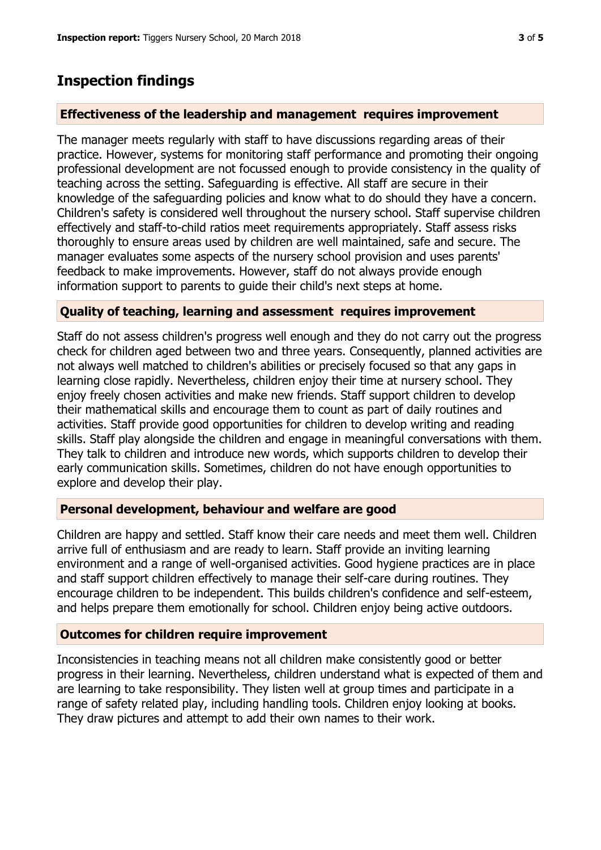## **Inspection findings**

## **Effectiveness of the leadership and management requires improvement**

The manager meets regularly with staff to have discussions regarding areas of their practice. However, systems for monitoring staff performance and promoting their ongoing professional development are not focussed enough to provide consistency in the quality of teaching across the setting. Safeguarding is effective. All staff are secure in their knowledge of the safeguarding policies and know what to do should they have a concern. Children's safety is considered well throughout the nursery school. Staff supervise children effectively and staff-to-child ratios meet requirements appropriately. Staff assess risks thoroughly to ensure areas used by children are well maintained, safe and secure. The manager evaluates some aspects of the nursery school provision and uses parents' feedback to make improvements. However, staff do not always provide enough information support to parents to guide their child's next steps at home.

#### **Quality of teaching, learning and assessment requires improvement**

Staff do not assess children's progress well enough and they do not carry out the progress check for children aged between two and three years. Consequently, planned activities are not always well matched to children's abilities or precisely focused so that any gaps in learning close rapidly. Nevertheless, children enjoy their time at nursery school. They enjoy freely chosen activities and make new friends. Staff support children to develop their mathematical skills and encourage them to count as part of daily routines and activities. Staff provide good opportunities for children to develop writing and reading skills. Staff play alongside the children and engage in meaningful conversations with them. They talk to children and introduce new words, which supports children to develop their early communication skills. Sometimes, children do not have enough opportunities to explore and develop their play.

#### **Personal development, behaviour and welfare are good**

Children are happy and settled. Staff know their care needs and meet them well. Children arrive full of enthusiasm and are ready to learn. Staff provide an inviting learning environment and a range of well-organised activities. Good hygiene practices are in place and staff support children effectively to manage their self-care during routines. They encourage children to be independent. This builds children's confidence and self-esteem, and helps prepare them emotionally for school. Children enjoy being active outdoors.

#### **Outcomes for children require improvement**

Inconsistencies in teaching means not all children make consistently good or better progress in their learning. Nevertheless, children understand what is expected of them and are learning to take responsibility. They listen well at group times and participate in a range of safety related play, including handling tools. Children enjoy looking at books. They draw pictures and attempt to add their own names to their work.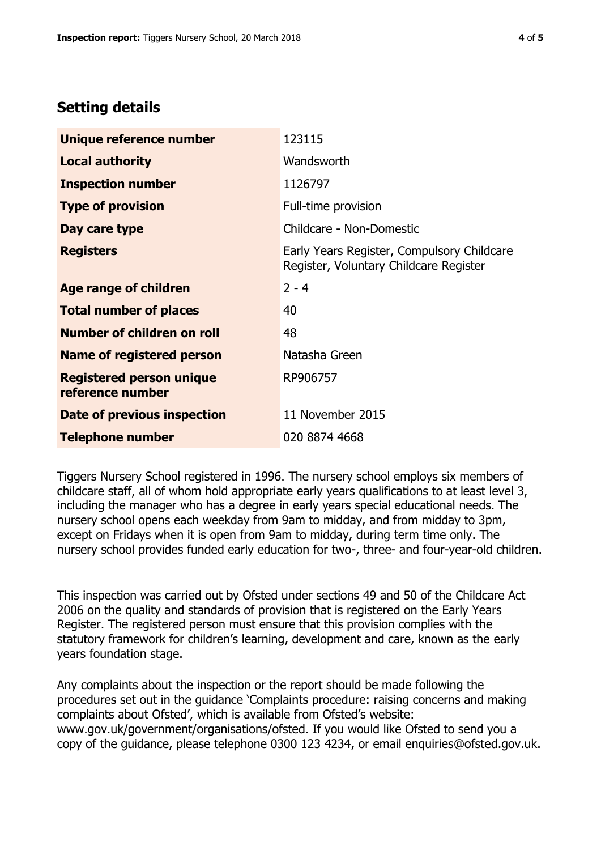# **Setting details**

| Unique reference number                             | 123115                                                                               |
|-----------------------------------------------------|--------------------------------------------------------------------------------------|
| <b>Local authority</b>                              | Wandsworth                                                                           |
| <b>Inspection number</b>                            | 1126797                                                                              |
| <b>Type of provision</b>                            | Full-time provision                                                                  |
| Day care type                                       | Childcare - Non-Domestic                                                             |
| <b>Registers</b>                                    | Early Years Register, Compulsory Childcare<br>Register, Voluntary Childcare Register |
| Age range of children                               | $2 - 4$                                                                              |
| <b>Total number of places</b>                       | 40                                                                                   |
| Number of children on roll                          | 48                                                                                   |
| Name of registered person                           | Natasha Green                                                                        |
| <b>Registered person unique</b><br>reference number | RP906757                                                                             |
| <b>Date of previous inspection</b>                  | 11 November 2015                                                                     |
| <b>Telephone number</b>                             | 020 8874 4668                                                                        |

Tiggers Nursery School registered in 1996. The nursery school employs six members of childcare staff, all of whom hold appropriate early years qualifications to at least level 3, including the manager who has a degree in early years special educational needs. The nursery school opens each weekday from 9am to midday, and from midday to 3pm, except on Fridays when it is open from 9am to midday, during term time only. The nursery school provides funded early education for two-, three- and four-year-old children.

This inspection was carried out by Ofsted under sections 49 and 50 of the Childcare Act 2006 on the quality and standards of provision that is registered on the Early Years Register. The registered person must ensure that this provision complies with the statutory framework for children's learning, development and care, known as the early years foundation stage.

Any complaints about the inspection or the report should be made following the procedures set out in the guidance 'Complaints procedure: raising concerns and making complaints about Ofsted', which is available from Ofsted's website: www.gov.uk/government/organisations/ofsted. If you would like Ofsted to send you a copy of the guidance, please telephone 0300 123 4234, or email enquiries@ofsted.gov.uk.